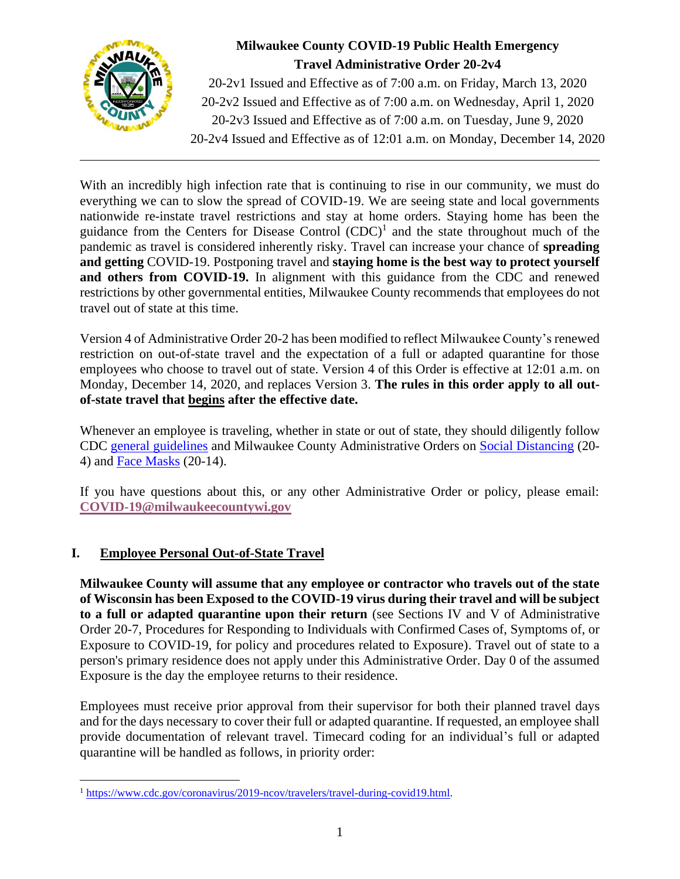

## **Milwaukee County COVID-19 Public Health Emergency Travel Administrative Order 20-2v4**

20-2v1 Issued and Effective as of 7:00 a.m. on Friday, March 13, 2020 20-2v2 Issued and Effective as of 7:00 a.m. on Wednesday, April 1, 2020 20-2v3 Issued and Effective as of 7:00 a.m. on Tuesday, June 9, 2020 20-2v4 Issued and Effective as of 12:01 a.m. on Monday, December 14, 2020

With an incredibly high infection rate that is continuing to rise in our community, we must do everything we can to slow the spread of COVID-19. We are seeing state and local governments nationwide re-instate travel restrictions and stay at home orders. Staying home has been the guidance from the Centers for Disease Control  $(CDC)^1$  and the state throughout much of the pandemic as travel is considered inherently risky. Travel can increase your chance of **spreading and getting** COVID-19. Postponing travel and **staying home is the best way to protect yourself and others from COVID-19.** In alignment with this guidance from the CDC and renewed restrictions by other governmental entities, Milwaukee County recommends that employees do not travel out of state at this time.

Version 4 of Administrative Order 20-2 has been modified to reflect Milwaukee County's renewed restriction on out-of-state travel and the expectation of a full or adapted quarantine for those employees who choose to travel out of state. Version 4 of this Order is effective at 12:01 a.m. on Monday, December 14, 2020, and replaces Version 3. **The rules in this order apply to all outof-state travel that begins after the effective date.** 

Whenever an employee is traveling, whether in state or out of state, they should diligently follow CDC [general guidelines](https://wwwnc.cdc.gov/travel/page/traveler-information-center) and Milwaukee County Administrative Orders on [Social Distancing](https://county.milwaukee.gov/files/county/COVID19/SocialDistancing-In-PersonWorkersWorkspaceHealthvF1.pdf) (20- 4) and [Face Masks](https://county.milwaukee.gov/files/county/COVID-19/UniversalFaceMaskPolicyandProceduresAdministrativeOrder20-14v12.pdf) (20-14).

If you have questions about this, or any other Administrative Order or policy, please email: **[COVID-19@milwaukeecountywi.gov](mailto:COVID-19@milwaukeecountywi.gov)**

## **I. Employee Personal Out-of-State Travel**

**Milwaukee County will assume that any employee or contractor who travels out of the state of Wisconsin has been Exposed to the COVID-19 virus during their travel and will be subject to a full or adapted quarantine upon their return** (see Sections IV and V of Administrative Order 20-7, Procedures for Responding to Individuals with Confirmed Cases of, Symptoms of, or Exposure to COVID-19, for policy and procedures related to Exposure). Travel out of state to a person's primary residence does not apply under this Administrative Order. Day 0 of the assumed Exposure is the day the employee returns to their residence.

Employees must receive prior approval from their supervisor for both their planned travel days and for the days necessary to cover their full or adapted quarantine. If requested, an employee shall provide documentation of relevant travel. Timecard coding for an individual's full or adapted quarantine will be handled as follows, in priority order:

<sup>1</sup> [https://www.cdc.gov/coronavirus/2019-ncov/travelers/travel-during-covid19.html.](https://www.cdc.gov/coronavirus/2019-ncov/travelers/travel-during-covid19.html)